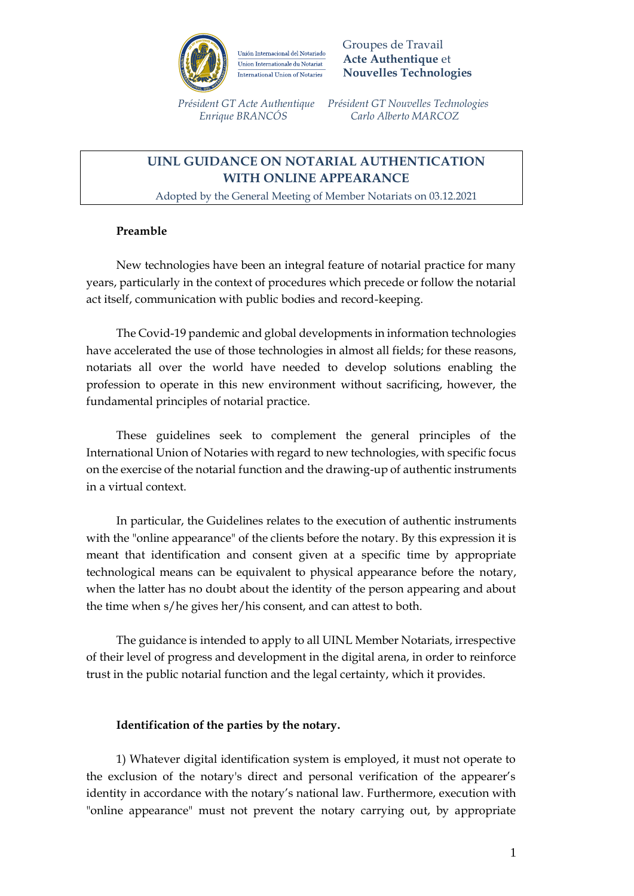

Groupes de Travail **Acte Authentique** et **Nouvelles Technologies**

 *Président GT Acte Authentique Président GT Nouvelles Technologies Enrique BRANCÓS Carlo Alberto MARCOZ*

# **UINL GUIDANCE ON NOTARIAL AUTHENTICATION WITH ONLINE APPEARANCE**

Adopted by the General Meeting of Member Notariats on 03.12.2021

### **Preamble**

New technologies have been an integral feature of notarial practice for many years, particularly in the context of procedures which precede or follow the notarial act itself, communication with public bodies and record-keeping.

The Covid-19 pandemic and global developments in information technologies have accelerated the use of those technologies in almost all fields; for these reasons, notariats all over the world have needed to develop solutions enabling the profession to operate in this new environment without sacrificing, however, the fundamental principles of notarial practice.

These guidelines seek to complement the general principles of the International Union of Notaries with regard to new technologies, with specific focus on the exercise of the notarial function and the drawing-up of authentic instruments in a virtual context.

In particular, the Guidelines relates to the execution of authentic instruments with the "online appearance" of the clients before the notary. By this expression it is meant that identification and consent given at a specific time by appropriate technological means can be equivalent to physical appearance before the notary, when the latter has no doubt about the identity of the person appearing and about the time when s/he gives her/his consent, and can attest to both.

The guidance is intended to apply to all UINL Member Notariats, irrespective of their level of progress and development in the digital arena, in order to reinforce trust in the public notarial function and the legal certainty, which it provides.

### **Identification of the parties by the notary.**

1) Whatever digital identification system is employed, it must not operate to the exclusion of the notary's direct and personal verification of the appearer's identity in accordance with the notary's national law. Furthermore, execution with "online appearance" must not prevent the notary carrying out, by appropriate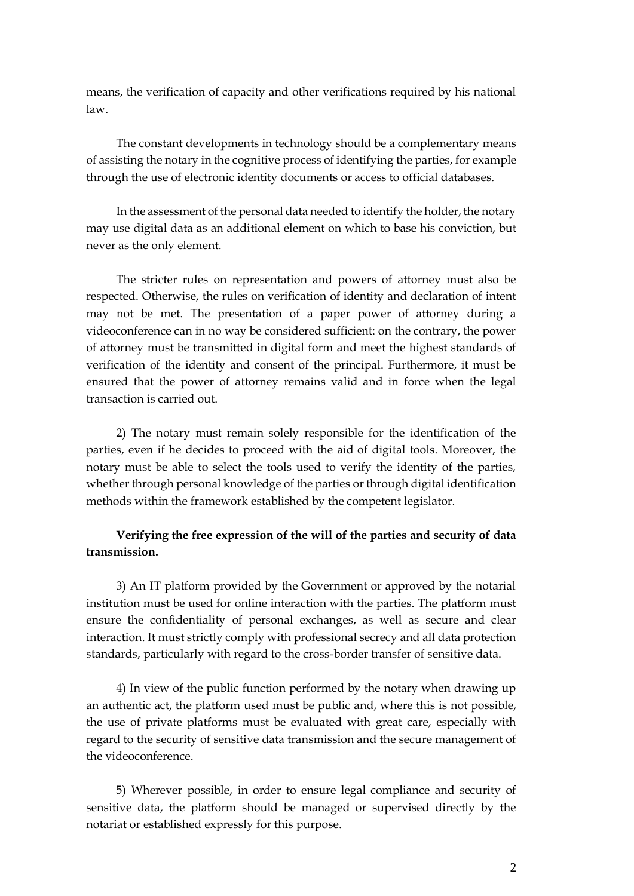means, the verification of capacity and other verifications required by his national law.

The constant developments in technology should be a complementary means of assisting the notary in the cognitive process of identifying the parties, for example through the use of electronic identity documents or access to official databases.

In the assessment of the personal data needed to identify the holder, the notary may use digital data as an additional element on which to base his conviction, but never as the only element.

The stricter rules on representation and powers of attorney must also be respected. Otherwise, the rules on verification of identity and declaration of intent may not be met. The presentation of a paper power of attorney during a videoconference can in no way be considered sufficient: on the contrary, the power of attorney must be transmitted in digital form and meet the highest standards of verification of the identity and consent of the principal. Furthermore, it must be ensured that the power of attorney remains valid and in force when the legal transaction is carried out.

2) The notary must remain solely responsible for the identification of the parties, even if he decides to proceed with the aid of digital tools. Moreover, the notary must be able to select the tools used to verify the identity of the parties, whether through personal knowledge of the parties or through digital identification methods within the framework established by the competent legislator.

## **Verifying the free expression of the will of the parties and security of data transmission.**

3) An IT platform provided by the Government or approved by the notarial institution must be used for online interaction with the parties. The platform must ensure the confidentiality of personal exchanges, as well as secure and clear interaction. It must strictly comply with professional secrecy and all data protection standards, particularly with regard to the cross-border transfer of sensitive data.

4) In view of the public function performed by the notary when drawing up an authentic act, the platform used must be public and, where this is not possible, the use of private platforms must be evaluated with great care, especially with regard to the security of sensitive data transmission and the secure management of the videoconference.

5) Wherever possible, in order to ensure legal compliance and security of sensitive data, the platform should be managed or supervised directly by the notariat or established expressly for this purpose.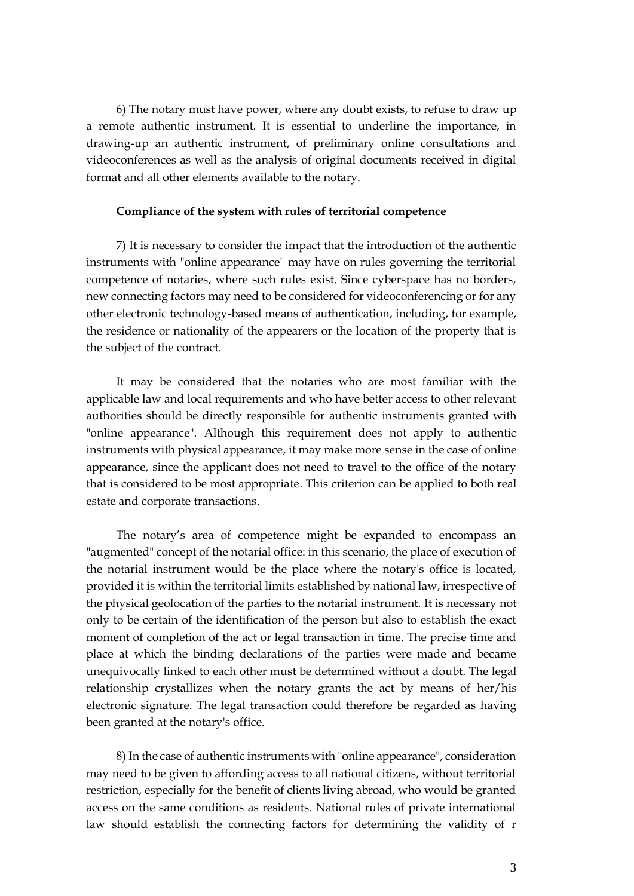6) The notary must have power, where any doubt exists, to refuse to draw up a remote authentic instrument. It is essential to underline the importance, in drawing-up an authentic instrument, of preliminary online consultations and videoconferences as well as the analysis of original documents received in digital format and all other elements available to the notary.

#### **Compliance of the system with rules of territorial competence**

7) It is necessary to consider the impact that the introduction of the authentic instruments with "online appearance" may have on rules governing the territorial competence of notaries, where such rules exist. Since cyberspace has no borders, new connecting factors may need to be considered for videoconferencing or for any other electronic technology-based means of authentication, including, for example, the residence or nationality of the appearers or the location of the property that is the subject of the contract.

It may be considered that the notaries who are most familiar with the applicable law and local requirements and who have better access to other relevant authorities should be directly responsible for authentic instruments granted with "online appearance". Although this requirement does not apply to authentic instruments with physical appearance, it may make more sense in the case of online appearance, since the applicant does not need to travel to the office of the notary that is considered to be most appropriate. This criterion can be applied to both real estate and corporate transactions.

The notary's area of competence might be expanded to encompass an "augmented" concept of the notarial office: in this scenario, the place of execution of the notarial instrument would be the place where the notary's office is located, provided it is within the territorial limits established by national law, irrespective of the physical geolocation of the parties to the notarial instrument. It is necessary not only to be certain of the identification of the person but also to establish the exact moment of completion of the act or legal transaction in time. The precise time and place at which the binding declarations of the parties were made and became unequivocally linked to each other must be determined without a doubt. The legal relationship crystallizes when the notary grants the act by means of her/his electronic signature. The legal transaction could therefore be regarded as having been granted at the notary's office.

8) In the case of authentic instruments with "online appearance", consideration may need to be given to affording access to all national citizens, without territorial restriction, especially for the benefit of clients living abroad, who would be granted access on the same conditions as residents. National rules of private international law should establish the connecting factors for determining the validity of r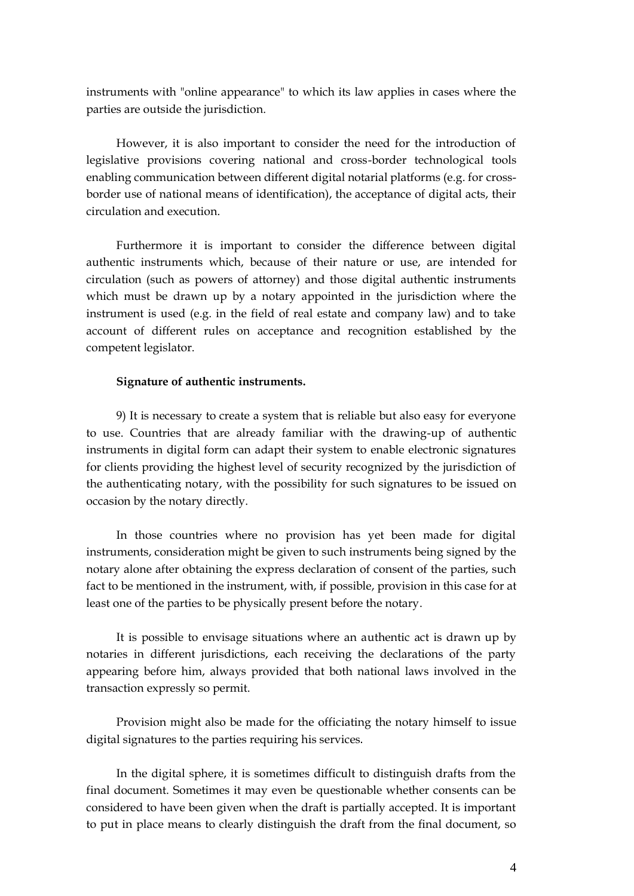instruments with "online appearance" to which its law applies in cases where the parties are outside the jurisdiction.

However, it is also important to consider the need for the introduction of legislative provisions covering national and cross-border technological tools enabling communication between different digital notarial platforms (e.g. for crossborder use of national means of identification), the acceptance of digital acts, their circulation and execution.

Furthermore it is important to consider the difference between digital authentic instruments which, because of their nature or use, are intended for circulation (such as powers of attorney) and those digital authentic instruments which must be drawn up by a notary appointed in the jurisdiction where the instrument is used (e.g. in the field of real estate and company law) and to take account of different rules on acceptance and recognition established by the competent legislator.

#### **Signature of authentic instruments.**

9) It is necessary to create a system that is reliable but also easy for everyone to use. Countries that are already familiar with the drawing-up of authentic instruments in digital form can adapt their system to enable electronic signatures for clients providing the highest level of security recognized by the jurisdiction of the authenticating notary, with the possibility for such signatures to be issued on occasion by the notary directly.

In those countries where no provision has yet been made for digital instruments, consideration might be given to such instruments being signed by the notary alone after obtaining the express declaration of consent of the parties, such fact to be mentioned in the instrument, with, if possible, provision in this case for at least one of the parties to be physically present before the notary.

It is possible to envisage situations where an authentic act is drawn up by notaries in different jurisdictions, each receiving the declarations of the party appearing before him, always provided that both national laws involved in the transaction expressly so permit.

Provision might also be made for the officiating the notary himself to issue digital signatures to the parties requiring his services.

In the digital sphere, it is sometimes difficult to distinguish drafts from the final document. Sometimes it may even be questionable whether consents can be considered to have been given when the draft is partially accepted. It is important to put in place means to clearly distinguish the draft from the final document, so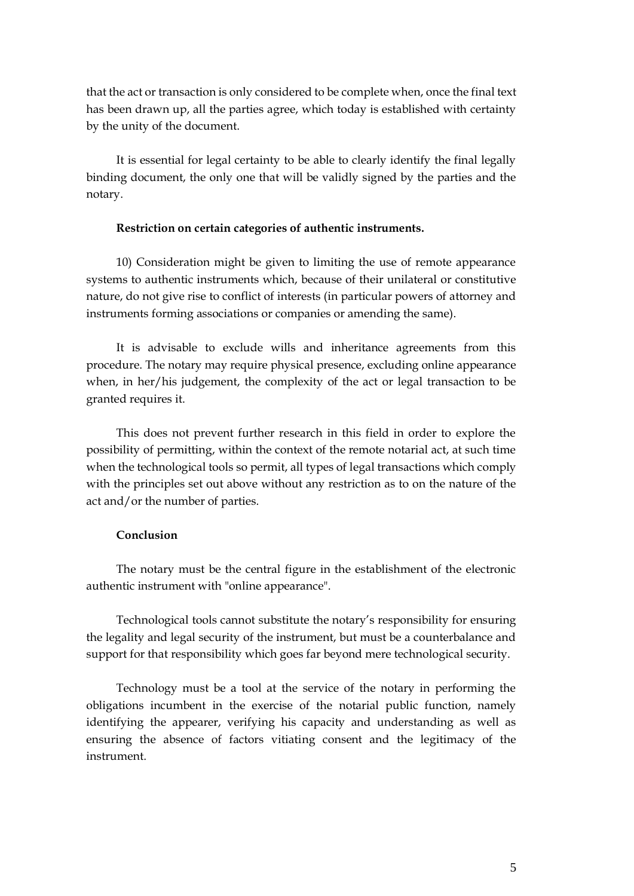that the act or transaction is only considered to be complete when, once the final text has been drawn up, all the parties agree, which today is established with certainty by the unity of the document.

It is essential for legal certainty to be able to clearly identify the final legally binding document, the only one that will be validly signed by the parties and the notary.

#### **Restriction on certain categories of authentic instruments.**

10) Consideration might be given to limiting the use of remote appearance systems to authentic instruments which, because of their unilateral or constitutive nature, do not give rise to conflict of interests (in particular powers of attorney and instruments forming associations or companies or amending the same).

It is advisable to exclude wills and inheritance agreements from this procedure. The notary may require physical presence, excluding online appearance when, in her/his judgement, the complexity of the act or legal transaction to be granted requires it.

This does not prevent further research in this field in order to explore the possibility of permitting, within the context of the remote notarial act, at such time when the technological tools so permit, all types of legal transactions which comply with the principles set out above without any restriction as to on the nature of the act and/or the number of parties.

### **Conclusion**

The notary must be the central figure in the establishment of the electronic authentic instrument with "online appearance".

Technological tools cannot substitute the notary's responsibility for ensuring the legality and legal security of the instrument, but must be a counterbalance and support for that responsibility which goes far beyond mere technological security.

Technology must be a tool at the service of the notary in performing the obligations incumbent in the exercise of the notarial public function, namely identifying the appearer, verifying his capacity and understanding as well as ensuring the absence of factors vitiating consent and the legitimacy of the instrument.